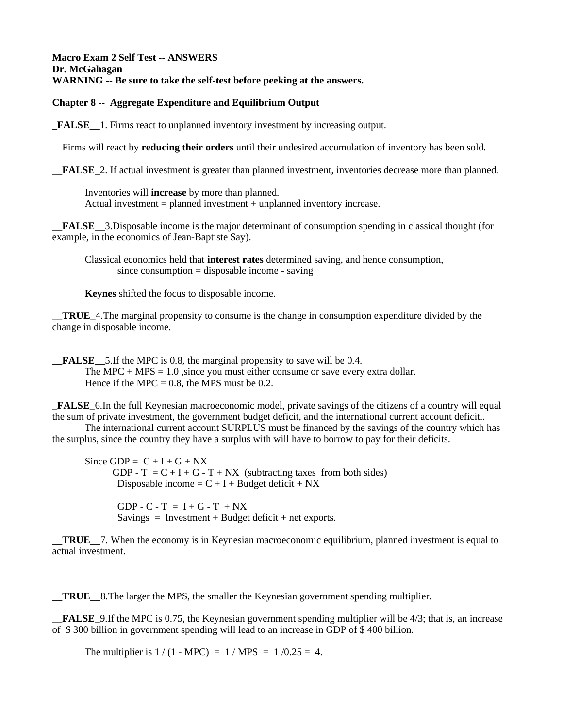#### **Macro Exam 2 Self Test -- ANSWERS Dr. McGahagan WARNING -- Be sure to take the self-test before peeking at the answers.**

## **Chapter 8 -- Aggregate Expenditure and Equilibrium Output**

**\_FALSE\_\_**1. Firms react to unplanned inventory investment by increasing output.

Firms will react by **reducing their orders** until their undesired accumulation of inventory has been sold.

\_\_**FALSE**\_2. If actual investment is greater than planned investment, inventories decrease more than planned.

Inventories will **increase** by more than planned. Actual investment = planned investment + unplanned inventory increase.

\_\_**FALSE**\_\_3.Disposable income is the major determinant of consumption spending in classical thought (for example, in the economics of Jean-Baptiste Say).

Classical economics held that **interest rates** determined saving, and hence consumption, since consumption = disposable income - saving

**Keynes** shifted the focus to disposable income.

\_\_**TRUE**\_4.The marginal propensity to consume is the change in consumption expenditure divided by the change in disposable income.

**FALSE** 5. If the MPC is 0.8, the marginal propensity to save will be 0.4. The MPC  $+$  MPS  $=$  1.0, since you must either consume or save every extra dollar. Hence if the MPC =  $0.8$ , the MPS must be 0.2.

**\_FALSE\_**6.In the full Keynesian macroeconomic model, private savings of the citizens of a country will equal the sum of private investment, the government budget deficit, and the international current account deficit..

The international current account SURPLUS must be financed by the savings of the country which has the surplus, since the country they have a surplus with will have to borrow to pay for their deficits.

Since GDP =  $C + I + G + NX$ GDP -  $T = C + I + G - T + NX$  (subtracting taxes from both sides) Disposable income =  $C + I + B$ udget deficit + NX

> GDP -  $C - T = I + G - T + NX$ Savings = Investment + Budget deficit + net exports.

**\_\_TRUE\_\_**7. When the economy is in Keynesian macroeconomic equilibrium, planned investment is equal to actual investment.

**\_\_TRUE\_\_**8.The larger the MPS, the smaller the Keynesian government spending multiplier.

**FALSE** 9.If the MPC is 0.75, the Keynesian government spending multiplier will be 4/3; that is, an increase of \$ 300 billion in government spending will lead to an increase in GDP of \$ 400 billion.

The multiplier is  $1 / (1 - \text{MPC}) = 1 / \text{MPS} = 1 / 0.25 = 4$ .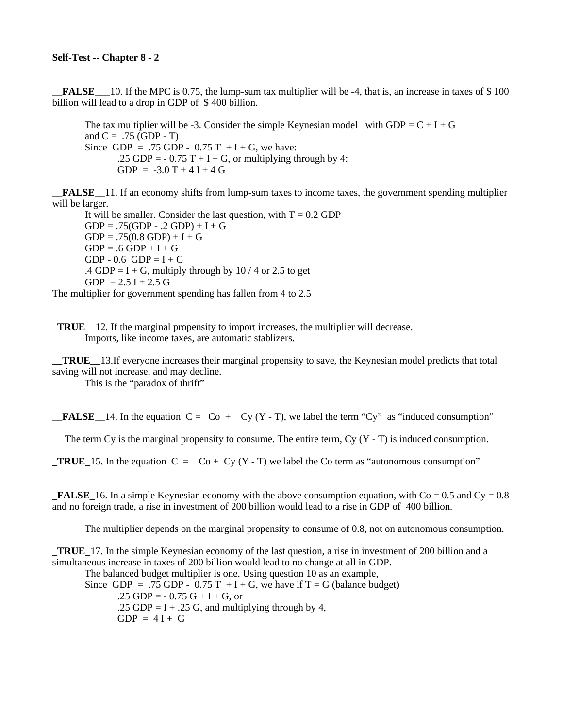**\_\_FALSE\_\_\_**10. If the MPC is 0.75, the lump-sum tax multiplier will be -4, that is, an increase in taxes of \$ 100 billion will lead to a drop in GDP of \$ 400 billion.

The tax multiplier will be -3. Consider the simple Keynesian model with GDP =  $C + I + G$ and  $C = .75$  (GDP - T) Since GDP = .75 GDP -  $0.75T + I + G$ , we have: .25 GDP =  $-0.75$  T + I + G, or multiplying through by 4:  $GDP = -3.0 T + 4 I + 4 G$ 

**\_\_FALSE\_\_**11. If an economy shifts from lump-sum taxes to income taxes, the government spending multiplier will be larger.

It will be smaller. Consider the last question, with  $T = 0.2$  GDP  $GDP = .75(GDP - .2 GDP) + I + G$  $GDP = .75(0.8 GDP) + I + G$  $GDP = .6 GDP + I + G$  $GDP - 0.6$   $GDP = I + G$ .4 GDP = I + G, multiply through by 10 / 4 or 2.5 to get  $GDP = 2.5 I + 2.5 G$ The multiplier for government spending has fallen from 4 to 2.5

**\_TRUE\_\_**12. If the marginal propensity to import increases, the multiplier will decrease. Imports, like income taxes, are automatic stablizers.

**\_\_TRUE\_\_**13.If everyone increases their marginal propensity to save, the Keynesian model predicts that total saving will not increase, and may decline.

This is the "paradox of thrift"

**FALSE** 14. In the equation  $C = C_0 + C_V(Y - T)$ , we label the term "Cy" as "induced consumption"

The term Cy is the marginal propensity to consume. The entire term, Cy  $(Y - T)$  is induced consumption.

**TRUE** 15. In the equation  $C = Co + Cv (Y - T)$  we label the Co term as "autonomous consumption"

**FALSE** 16. In a simple Keynesian economy with the above consumption equation, with  $Co = 0.5$  and  $Cy = 0.8$ and no foreign trade, a rise in investment of 200 billion would lead to a rise in GDP of 400 billion.

The multiplier depends on the marginal propensity to consume of 0.8, not on autonomous consumption.

**\_TRUE\_**17. In the simple Keynesian economy of the last question, a rise in investment of 200 billion and a simultaneous increase in taxes of 200 billion would lead to no change at all in GDP.

The balanced budget multiplier is one. Using question 10 as an example, Since GDP = .75 GDP -  $0.75T + I + G$ , we have if  $T = G$  (balance budget) .25 GDP =  $-0.75$  G + I + G, or .25 GDP =  $I + .25$  G, and multiplying through by 4,  $GDP = 4I + G$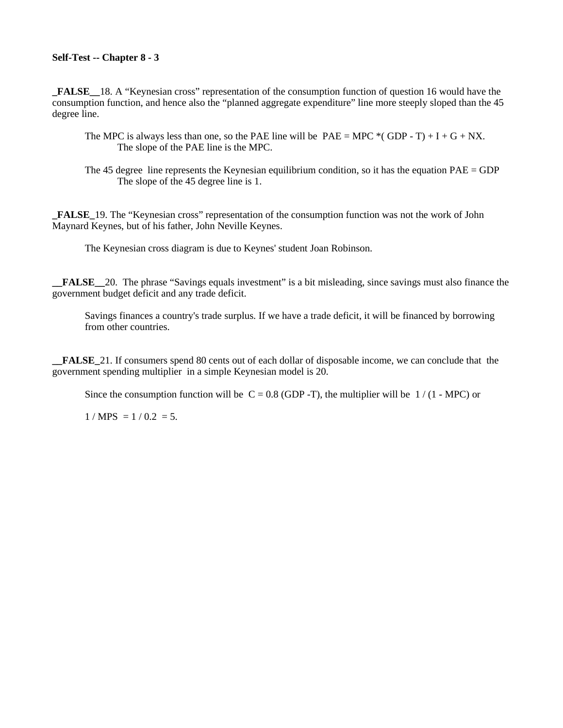## **Self-Test -- Chapter 8 - 3**

**\_FALSE\_\_**18. A "Keynesian cross" representation of the consumption function of question 16 would have the consumption function, and hence also the "planned aggregate expenditure" line more steeply sloped than the 45 degree line.

- The MPC is always less than one, so the PAE line will be  $PAE = MPC*(GDP T) + I + G + NX$ . The slope of the PAE line is the MPC.
- The 45 degree line represents the Keynesian equilibrium condition, so it has the equation  $PAE = GDP$ The slope of the 45 degree line is 1.

**\_FALSE\_**19. The "Keynesian cross" representation of the consumption function was not the work of John Maynard Keynes, but of his father, John Neville Keynes.

The Keynesian cross diagram is due to Keynes' student Joan Robinson.

**\_\_FALSE\_\_**20. The phrase "Savings equals investment" is a bit misleading, since savings must also finance the government budget deficit and any trade deficit.

Savings finances a country's trade surplus. If we have a trade deficit, it will be financed by borrowing from other countries.

**\_\_FALSE\_**21. If consumers spend 80 cents out of each dollar of disposable income, we can conclude that the government spending multiplier in a simple Keynesian model is 20.

Since the consumption function will be  $C = 0.8$  (GDP -T), the multiplier will be  $1/(1 - MPC)$  or

 $1 / MPS = 1 / 0.2 = 5.$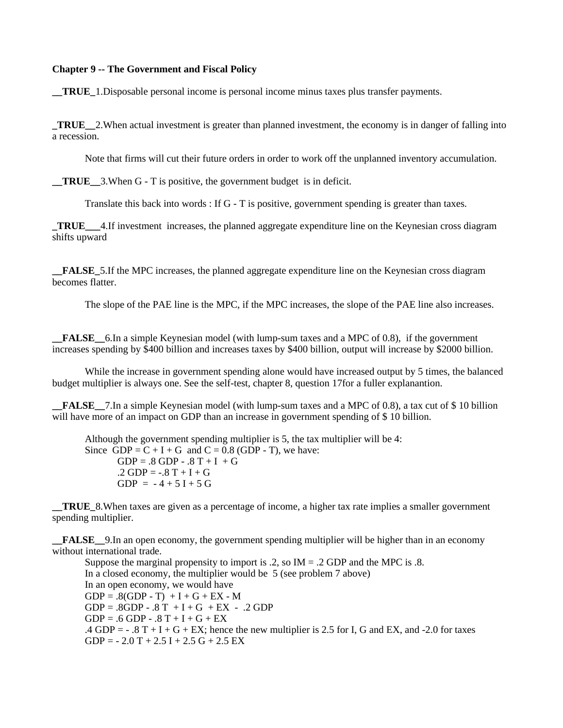#### **Chapter 9 -- The Government and Fiscal Policy**

**\_\_TRUE\_**1.Disposable personal income is personal income minus taxes plus transfer payments.

**\_TRUE\_\_**2.When actual investment is greater than planned investment, the economy is in danger of falling into a recession.

Note that firms will cut their future orders in order to work off the unplanned inventory accumulation.

**\_\_TRUE\_\_**3.When G - T is positive, the government budget is in deficit.

Translate this back into words : If G - T is positive, government spending is greater than taxes.

**\_TRUE\_\_\_**4.If investment increases, the planned aggregate expenditure line on the Keynesian cross diagram shifts upward

**\_\_FALSE\_**5.If the MPC increases, the planned aggregate expenditure line on the Keynesian cross diagram becomes flatter.

The slope of the PAE line is the MPC, if the MPC increases, the slope of the PAE line also increases.

**\_\_FALSE\_\_**6.In a simple Keynesian model (with lump-sum taxes and a MPC of 0.8), if the government increases spending by \$400 billion and increases taxes by \$400 billion, output will increase by \$2000 billion.

While the increase in government spending alone would have increased output by 5 times, the balanced budget multiplier is always one. See the self-test, chapter 8, question 17for a fuller explanantion.

**FALSE** 7. In a simple Keynesian model (with lump-sum taxes and a MPC of 0.8), a tax cut of \$10 billion will have more of an impact on GDP than an increase in government spending of \$ 10 billion.

Although the government spending multiplier is 5, the tax multiplier will be 4: Since GDP =  $C + I + G$  and  $C = 0.8$  (GDP - T), we have:  $GDP = .8 GDP - .8 T + I + G$  $.2$  GDP =  $-.8$  T + I + G  $GDP = -4 + 5I + 5G$ 

**TRUE** 8. When taxes are given as a percentage of income, a higher tax rate implies a smaller government spending multiplier.

**FALSE** 9.In an open economy, the government spending multiplier will be higher than in an economy without international trade.

Suppose the marginal propensity to import is .2, so  $IM = .2$  GDP and the MPC is .8. In a closed economy, the multiplier would be 5 (see problem 7 above) In an open economy, we would have  $GDP = .8(GDP - T) + I + G + EX - M$  $GDP = .8GDP - .8 T + I + G + EX - .2 GDP$  $GDP = .6 GDP - .8 T + I + G + EX$ .4 GDP =  $-$  .8 T + I + G + EX; hence the new multiplier is 2.5 for I, G and EX, and -2.0 for taxes  $GDP = -2.0 T + 2.5 I + 2.5 G + 2.5 EX$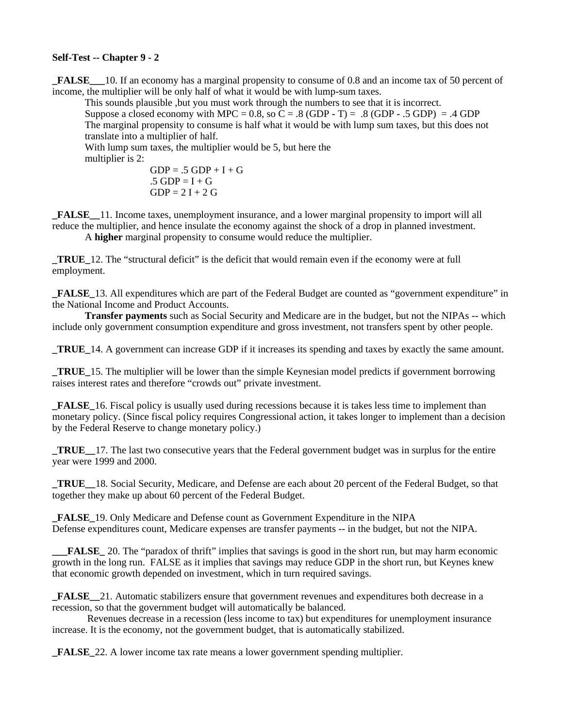## **Self-Test -- Chapter 9 - 2**

**\_FALSE\_\_\_**10. If an economy has a marginal propensity to consume of 0.8 and an income tax of 50 percent of income, the multiplier will be only half of what it would be with lump-sum taxes.

This sounds plausible ,but you must work through the numbers to see that it is incorrect. Suppose a closed economy with MPC =  $0.8$ , so C =  $.8$  (GDP - T) =  $.8$  (GDP -  $.5$  GDP) =  $.4$  GDP The marginal propensity to consume is half what it would be with lump sum taxes, but this does not translate into a multiplier of half.

With lump sum taxes, the multiplier would be 5, but here the multiplier is 2:

$$
GDP = .5 GDP + I + G
$$
  
.5 GDP = I + G  
GDP = 2 I + 2 G

**\_FALSE\_\_**11. Income taxes, unemployment insurance, and a lower marginal propensity to import will all reduce the multiplier, and hence insulate the economy against the shock of a drop in planned investment.

A **higher** marginal propensity to consume would reduce the multiplier.

**\_TRUE\_**12. The "structural deficit" is the deficit that would remain even if the economy were at full employment.

**\_FALSE\_**13. All expenditures which are part of the Federal Budget are counted as "government expenditure" in the National Income and Product Accounts.

**Transfer payments** such as Social Security and Medicare are in the budget, but not the NIPAs -- which include only government consumption expenditure and gross investment, not transfers spent by other people.

**\_TRUE\_**14. A government can increase GDP if it increases its spending and taxes by exactly the same amount.

**\_TRUE\_**15. The multiplier will be lower than the simple Keynesian model predicts if government borrowing raises interest rates and therefore "crowds out" private investment.

**FALSE** 16. Fiscal policy is usually used during recessions because it is takes less time to implement than monetary policy. (Since fiscal policy requires Congressional action, it takes longer to implement than a decision by the Federal Reserve to change monetary policy.)

**\_TRUE\_\_**17. The last two consecutive years that the Federal government budget was in surplus for the entire year were 1999 and 2000.

**\_TRUE\_\_**18. Social Security, Medicare, and Defense are each about 20 percent of the Federal Budget, so that together they make up about 60 percent of the Federal Budget.

**\_FALSE\_**19. Only Medicare and Defense count as Government Expenditure in the NIPA Defense expenditures count, Medicare expenses are transfer payments -- in the budget, but not the NIPA.

**FALSE** 20. The "paradox of thrift" implies that savings is good in the short run, but may harm economic growth in the long run. FALSE as it implies that savings may reduce GDP in the short run, but Keynes knew that economic growth depended on investment, which in turn required savings.

**\_FALSE\_\_**21. Automatic stabilizers ensure that government revenues and expenditures both decrease in a recession, so that the government budget will automatically be balanced.

 Revenues decrease in a recession (less income to tax) but expenditures for unemployment insurance increase. It is the economy, not the government budget, that is automatically stabilized.

**\_FALSE\_**22. A lower income tax rate means a lower government spending multiplier.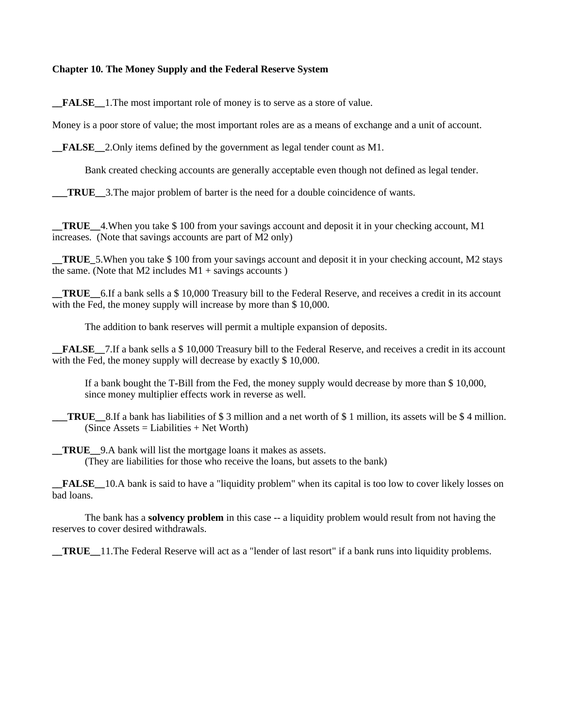#### **Chapter 10. The Money Supply and the Federal Reserve System**

**\_\_FALSE\_\_**1.The most important role of money is to serve as a store of value.

Money is a poor store of value; the most important roles are as a means of exchange and a unit of account.

**FALSE** 2. Only items defined by the government as legal tender count as M1.

Bank created checking accounts are generally acceptable even though not defined as legal tender.

**\_\_\_TRUE\_\_**3.The major problem of barter is the need for a double coincidence of wants.

**\_\_TRUE\_\_**4.When you take \$ 100 from your savings account and deposit it in your checking account, M1 increases. (Note that savings accounts are part of M2 only)

**TRUE** 5. When you take \$ 100 from your savings account and deposit it in your checking account, M2 stays the same. (Note that  $M2$  includes  $M1$  + savings accounts)

**\_\_TRUE\_\_**6.If a bank sells a \$ 10,000 Treasury bill to the Federal Reserve, and receives a credit in its account with the Fed, the money supply will increase by more than \$ 10,000.

The addition to bank reserves will permit a multiple expansion of deposits.

**\_\_FALSE\_\_**7.If a bank sells a \$ 10,000 Treasury bill to the Federal Reserve, and receives a credit in its account with the Fed, the money supply will decrease by exactly \$10,000.

If a bank bought the T-Bill from the Fed, the money supply would decrease by more than \$ 10,000, since money multiplier effects work in reverse as well.

**TRUE** 8.If a bank has liabilities of \$ 3 million and a net worth of \$ 1 million, its assets will be \$ 4 million.  $(Since Assets = Liabilities + Net Worth)$ 

**\_\_TRUE\_\_**9.A bank will list the mortgage loans it makes as assets. (They are liabilities for those who receive the loans, but assets to the bank)

**\_\_FALSE\_\_**10.A bank is said to have a "liquidity problem" when its capital is too low to cover likely losses on bad loans.

The bank has a **solvency problem** in this case -- a liquidity problem would result from not having the reserves to cover desired withdrawals.

**\_\_TRUE\_\_**11.The Federal Reserve will act as a "lender of last resort" if a bank runs into liquidity problems.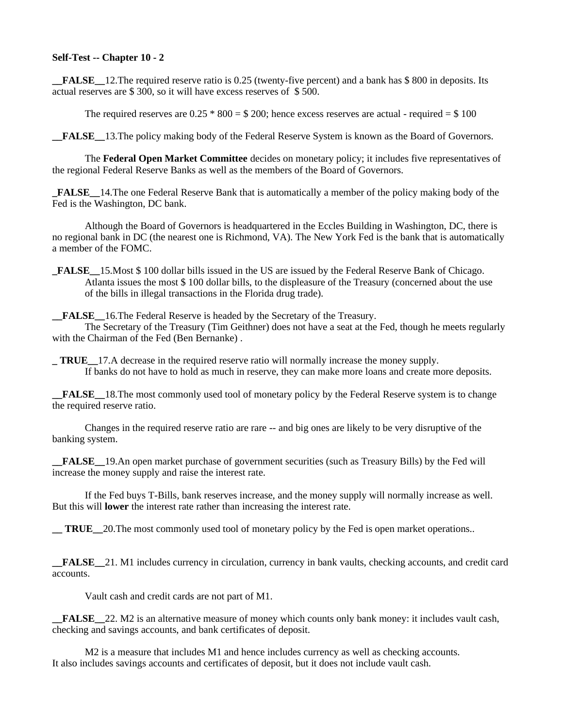## **Self-Test -- Chapter 10 - 2**

**\_\_FALSE\_\_**12.The required reserve ratio is 0.25 (twenty-five percent) and a bank has \$ 800 in deposits. Its actual reserves are \$ 300, so it will have excess reserves of \$ 500.

The required reserves are  $0.25 * 800 = $200$ ; hence excess reserves are actual - required  $= $100$ 

**\_\_FALSE\_\_**13.The policy making body of the Federal Reserve System is known as the Board of Governors.

The **Federal Open Market Committee** decides on monetary policy; it includes five representatives of the regional Federal Reserve Banks as well as the members of the Board of Governors.

**\_FALSE\_\_**14.The one Federal Reserve Bank that is automatically a member of the policy making body of the Fed is the Washington, DC bank.

Although the Board of Governors is headquartered in the Eccles Building in Washington, DC, there is no regional bank in DC (the nearest one is Richmond, VA). The New York Fed is the bank that is automatically a member of the FOMC.

**\_FALSE\_\_**15.Most \$ 100 dollar bills issued in the US are issued by the Federal Reserve Bank of Chicago. Atlanta issues the most \$ 100 dollar bills, to the displeasure of the Treasury (concerned about the use of the bills in illegal transactions in the Florida drug trade).

**FALSE** 16. The Federal Reserve is headed by the Secretary of the Treasury.

The Secretary of the Treasury (Tim Geithner) does not have a seat at the Fed, though he meets regularly with the Chairman of the Fed (Ben Bernanke) .

**\_ TRUE\_\_**17.A decrease in the required reserve ratio will normally increase the money supply. If banks do not have to hold as much in reserve, they can make more loans and create more deposits.

**\_\_FALSE\_\_**18.The most commonly used tool of monetary policy by the Federal Reserve system is to change the required reserve ratio.

Changes in the required reserve ratio are rare -- and big ones are likely to be very disruptive of the banking system.

**\_\_FALSE\_\_**19.An open market purchase of government securities (such as Treasury Bills) by the Fed will increase the money supply and raise the interest rate.

If the Fed buys T-Bills, bank reserves increase, and the money supply will normally increase as well. But this will **lower** the interest rate rather than increasing the interest rate.

**TRUE** 20. The most commonly used tool of monetary policy by the Fed is open market operations..

**\_\_FALSE\_\_**21. M1 includes currency in circulation, currency in bank vaults, checking accounts, and credit card accounts.

Vault cash and credit cards are not part of M1.

**FALSE** 22. M2 is an alternative measure of money which counts only bank money: it includes vault cash, checking and savings accounts, and bank certificates of deposit.

M2 is a measure that includes M1 and hence includes currency as well as checking accounts. It also includes savings accounts and certificates of deposit, but it does not include vault cash.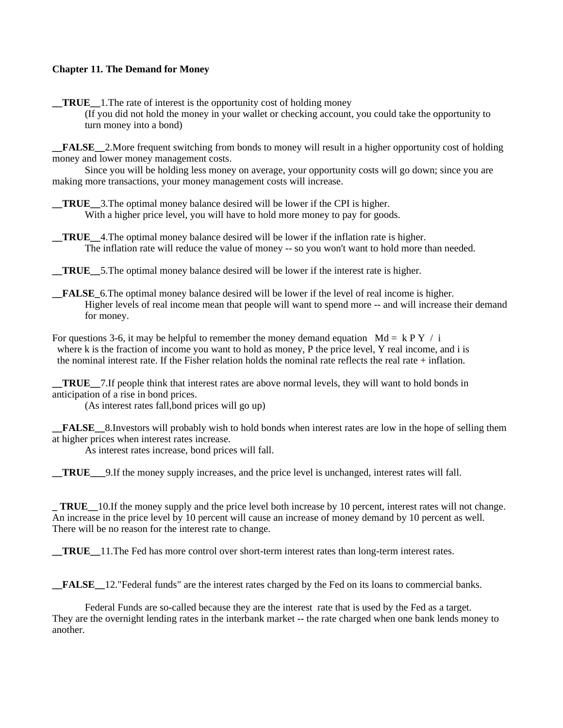# **Chapter 11. The Demand for Money**

**\_\_TRUE\_\_**1.The rate of interest is the opportunity cost of holding money (If you did not hold the money in your wallet or checking account, you could take the opportunity to turn money into a bond)

**\_\_FALSE\_\_**2.More frequent switching from bonds to money will result in a higher opportunity cost of holding money and lower money management costs.

Since you will be holding less money on average, your opportunity costs will go down; since you are making more transactions, your money management costs will increase.

**\_\_TRUE\_\_**3.The optimal money balance desired will be lower if the CPI is higher. With a higher price level, you will have to hold more money to pay for goods.

**TRUE** 4. The optimal money balance desired will be lower if the inflation rate is higher. The inflation rate will reduce the value of money -- so you won't want to hold more than needed.

**\_\_TRUE\_\_**5.The optimal money balance desired will be lower if the interest rate is higher.

**\_\_FALSE\_**6.The optimal money balance desired will be lower if the level of real income is higher. Higher levels of real income mean that people will want to spend more -- and will increase their demand for money.

For questions 3-6, it may be helpful to remember the money demand equation Md = k P Y / i where k is the fraction of income you want to hold as money, P the price level, Y real income, and i is the nominal interest rate. If the Fisher relation holds the nominal rate reflects the real rate + inflation.

**TRUE** 7. If people think that interest rates are above normal levels, they will want to hold bonds in anticipation of a rise in bond prices.

(As interest rates fall,bond prices will go up)

**\_\_FALSE\_\_**8.Investors will probably wish to hold bonds when interest rates are low in the hope of selling them at higher prices when interest rates increase.

As interest rates increase, bond prices will fall.

**\_\_TRUE\_\_\_**9.If the money supply increases, and the price level is unchanged, interest rates will fall.

**\_ TRUE\_\_**10.If the money supply and the price level both increase by 10 percent, interest rates will not change. An increase in the price level by 10 percent will cause an increase of money demand by 10 percent as well. There will be no reason for the interest rate to change.

**\_\_TRUE\_\_**11.The Fed has more control over short-term interest rates than long-term interest rates.

**\_\_FALSE\_\_**12."Federal funds" are the interest rates charged by the Fed on its loans to commercial banks.

Federal Funds are so-called because they are the interest rate that is used by the Fed as a target. They are the overnight lending rates in the interbank market -- the rate charged when one bank lends money to another.